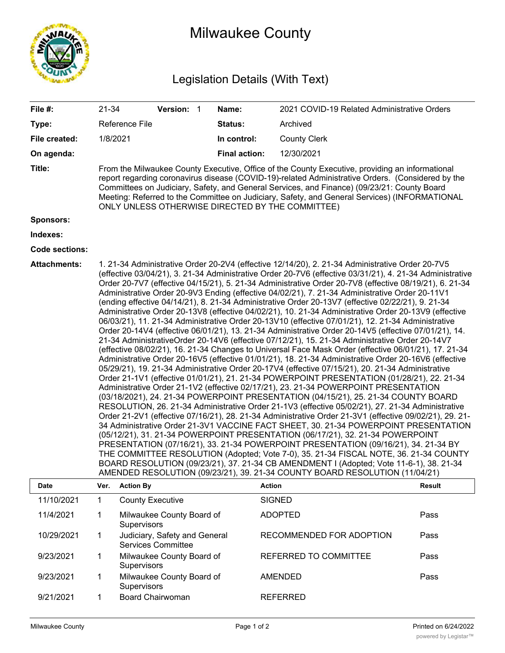

## Milwaukee County

## Legislation Details (With Text)

| File #:               | 21-34                                                                                                                                                                                                                                                                                                                                                                                                                                                                                                                                                                                                                                                                                                                                                                                                                                                                                                                                                                                                                                                                                                                                                                                                                                                                                                                                                                                                                                                                                                                                                                                                                                                                                                                                                                                                                                                                                                                                                                                                                                                                                                                                                                                                                                                                                                |                                                                                                                                                                                                                                                                                                                                                                                                                                                          | Version: 1                                                 |  | Name:                | 2021 COVID-19 Related Administrative Orders |        |  |  |
|-----------------------|------------------------------------------------------------------------------------------------------------------------------------------------------------------------------------------------------------------------------------------------------------------------------------------------------------------------------------------------------------------------------------------------------------------------------------------------------------------------------------------------------------------------------------------------------------------------------------------------------------------------------------------------------------------------------------------------------------------------------------------------------------------------------------------------------------------------------------------------------------------------------------------------------------------------------------------------------------------------------------------------------------------------------------------------------------------------------------------------------------------------------------------------------------------------------------------------------------------------------------------------------------------------------------------------------------------------------------------------------------------------------------------------------------------------------------------------------------------------------------------------------------------------------------------------------------------------------------------------------------------------------------------------------------------------------------------------------------------------------------------------------------------------------------------------------------------------------------------------------------------------------------------------------------------------------------------------------------------------------------------------------------------------------------------------------------------------------------------------------------------------------------------------------------------------------------------------------------------------------------------------------------------------------------------------------|----------------------------------------------------------------------------------------------------------------------------------------------------------------------------------------------------------------------------------------------------------------------------------------------------------------------------------------------------------------------------------------------------------------------------------------------------------|------------------------------------------------------------|--|----------------------|---------------------------------------------|--------|--|--|
| Type:                 |                                                                                                                                                                                                                                                                                                                                                                                                                                                                                                                                                                                                                                                                                                                                                                                                                                                                                                                                                                                                                                                                                                                                                                                                                                                                                                                                                                                                                                                                                                                                                                                                                                                                                                                                                                                                                                                                                                                                                                                                                                                                                                                                                                                                                                                                                                      | Reference File                                                                                                                                                                                                                                                                                                                                                                                                                                           |                                                            |  | Status:              | Archived                                    |        |  |  |
| File created:         | 1/8/2021                                                                                                                                                                                                                                                                                                                                                                                                                                                                                                                                                                                                                                                                                                                                                                                                                                                                                                                                                                                                                                                                                                                                                                                                                                                                                                                                                                                                                                                                                                                                                                                                                                                                                                                                                                                                                                                                                                                                                                                                                                                                                                                                                                                                                                                                                             |                                                                                                                                                                                                                                                                                                                                                                                                                                                          |                                                            |  | In control:          | <b>County Clerk</b>                         |        |  |  |
| On agenda:            |                                                                                                                                                                                                                                                                                                                                                                                                                                                                                                                                                                                                                                                                                                                                                                                                                                                                                                                                                                                                                                                                                                                                                                                                                                                                                                                                                                                                                                                                                                                                                                                                                                                                                                                                                                                                                                                                                                                                                                                                                                                                                                                                                                                                                                                                                                      |                                                                                                                                                                                                                                                                                                                                                                                                                                                          |                                                            |  | <b>Final action:</b> | 12/30/2021                                  |        |  |  |
| Title:                |                                                                                                                                                                                                                                                                                                                                                                                                                                                                                                                                                                                                                                                                                                                                                                                                                                                                                                                                                                                                                                                                                                                                                                                                                                                                                                                                                                                                                                                                                                                                                                                                                                                                                                                                                                                                                                                                                                                                                                                                                                                                                                                                                                                                                                                                                                      | From the Milwaukee County Executive, Office of the County Executive, providing an informational<br>report regarding coronavirus disease (COVID-19)-related Administrative Orders. (Considered by the<br>Committees on Judiciary, Safety, and General Services, and Finance) (09/23/21: County Board<br>Meeting: Referred to the Committee on Judiciary, Safety, and General Services) (INFORMATIONAL<br>ONLY UNLESS OTHERWISE DIRECTED BY THE COMMITTEE) |                                                            |  |                      |                                             |        |  |  |
| Sponsors:             |                                                                                                                                                                                                                                                                                                                                                                                                                                                                                                                                                                                                                                                                                                                                                                                                                                                                                                                                                                                                                                                                                                                                                                                                                                                                                                                                                                                                                                                                                                                                                                                                                                                                                                                                                                                                                                                                                                                                                                                                                                                                                                                                                                                                                                                                                                      |                                                                                                                                                                                                                                                                                                                                                                                                                                                          |                                                            |  |                      |                                             |        |  |  |
| Indexes:              |                                                                                                                                                                                                                                                                                                                                                                                                                                                                                                                                                                                                                                                                                                                                                                                                                                                                                                                                                                                                                                                                                                                                                                                                                                                                                                                                                                                                                                                                                                                                                                                                                                                                                                                                                                                                                                                                                                                                                                                                                                                                                                                                                                                                                                                                                                      |                                                                                                                                                                                                                                                                                                                                                                                                                                                          |                                                            |  |                      |                                             |        |  |  |
| <b>Code sections:</b> |                                                                                                                                                                                                                                                                                                                                                                                                                                                                                                                                                                                                                                                                                                                                                                                                                                                                                                                                                                                                                                                                                                                                                                                                                                                                                                                                                                                                                                                                                                                                                                                                                                                                                                                                                                                                                                                                                                                                                                                                                                                                                                                                                                                                                                                                                                      |                                                                                                                                                                                                                                                                                                                                                                                                                                                          |                                                            |  |                      |                                             |        |  |  |
| <b>Attachments:</b>   | 1. 21-34 Administrative Order 20-2V4 (effective 12/14/20), 2. 21-34 Administrative Order 20-7V5<br>(effective 03/04/21), 3. 21-34 Administrative Order 20-7V6 (effective 03/31/21), 4. 21-34 Administrative<br>Order 20-7V7 (effective 04/15/21), 5. 21-34 Administrative Order 20-7V8 (effective 08/19/21), 6. 21-34<br>Administrative Order 20-9V3 Ending (effective 04/02/21), 7. 21-34 Administrative Order 20-11V1<br>(ending effective 04/14/21), 8. 21-34 Administrative Order 20-13V7 (effective 02/22/21), 9. 21-34<br>Administrative Order 20-13V8 (effective 04/02/21), 10. 21-34 Administrative Order 20-13V9 (effective<br>06/03/21), 11. 21-34 Administrative Order 20-13V10 (effective 07/01/21), 12. 21-34 Administrative<br>Order 20-14V4 (effective 06/01/21), 13. 21-34 Administrative Order 20-14V5 (effective 07/01/21), 14.<br>21-34 AdministrativeOrder 20-14V6 (effective 07/12/21), 15. 21-34 Administrative Order 20-14V7<br>(effective 08/02/21), 16. 21-34 Changes to Universal Face Mask Order (effective 06/01/21), 17. 21-34<br>Administrative Order 20-16V5 (effective 01/01/21), 18. 21-34 Administrative Order 20-16V6 (effective<br>05/29/21), 19. 21-34 Administrative Order 20-17V4 (effective 07/15/21), 20. 21-34 Administrative<br>Order 21-1V1 (effective 01/01/21), 21. 21-34 POWERPOINT PRESENTATION (01/28/21), 22. 21-34<br>Administrative Order 21-1V2 (effective 02/17/21), 23. 21-34 POWERPOINT PRESENTATION<br>(03/18/2021), 24. 21-34 POWERPOINT PRESENTATION (04/15/21), 25. 21-34 COUNTY BOARD<br>RESOLUTION, 26. 21-34 Administrative Order 21-1V3 (effective 05/02/21), 27. 21-34 Administrative<br>Order 21-2V1 (effective 07/16/21), 28. 21-34 Administrative Order 21-3V1 (effective 09/02/21), 29. 21-<br>34 Administrative Order 21-3V1 VACCINE FACT SHEET, 30. 21-34 POWERPOINT PRESENTATION<br>(05/12/21), 31. 21-34 POWERPOINT PRESENTATION (06/17/21), 32. 21-34 POWERPOINT<br>PRESENTATION (07/16/21), 33. 21-34 POWERPOINT PRESENTATION (09/16/21), 34. 21-34 BY<br>THE COMMITTEE RESOLUTION (Adopted; Vote 7-0), 35. 21-34 FISCAL NOTE, 36. 21-34 COUNTY<br>BOARD RESOLUTION (09/23/21), 37. 21-34 CB AMENDMENT I (Adopted; Vote 11-6-1), 38. 21-34<br>AMENDED RESOLUTION (09/23/21), 39. 21-34 COUNTY BOARD RESOLUTION (11/04/21) |                                                                                                                                                                                                                                                                                                                                                                                                                                                          |                                                            |  |                      |                                             |        |  |  |
| <b>Date</b>           | Ver.                                                                                                                                                                                                                                                                                                                                                                                                                                                                                                                                                                                                                                                                                                                                                                                                                                                                                                                                                                                                                                                                                                                                                                                                                                                                                                                                                                                                                                                                                                                                                                                                                                                                                                                                                                                                                                                                                                                                                                                                                                                                                                                                                                                                                                                                                                 | <b>Action By</b>                                                                                                                                                                                                                                                                                                                                                                                                                                         |                                                            |  |                      | <b>Action</b>                               | Result |  |  |
| 11/10/2021            | $\mathbf{1}$                                                                                                                                                                                                                                                                                                                                                                                                                                                                                                                                                                                                                                                                                                                                                                                                                                                                                                                                                                                                                                                                                                                                                                                                                                                                                                                                                                                                                                                                                                                                                                                                                                                                                                                                                                                                                                                                                                                                                                                                                                                                                                                                                                                                                                                                                         | <b>County Executive</b>                                                                                                                                                                                                                                                                                                                                                                                                                                  |                                                            |  |                      | <b>SIGNED</b>                               |        |  |  |
| 11/4/2021             | 1                                                                                                                                                                                                                                                                                                                                                                                                                                                                                                                                                                                                                                                                                                                                                                                                                                                                                                                                                                                                                                                                                                                                                                                                                                                                                                                                                                                                                                                                                                                                                                                                                                                                                                                                                                                                                                                                                                                                                                                                                                                                                                                                                                                                                                                                                                    | Supervisors                                                                                                                                                                                                                                                                                                                                                                                                                                              | Milwaukee County Board of                                  |  |                      | <b>ADOPTED</b>                              | Pass   |  |  |
| 10/29/2021            | 1.                                                                                                                                                                                                                                                                                                                                                                                                                                                                                                                                                                                                                                                                                                                                                                                                                                                                                                                                                                                                                                                                                                                                                                                                                                                                                                                                                                                                                                                                                                                                                                                                                                                                                                                                                                                                                                                                                                                                                                                                                                                                                                                                                                                                                                                                                                   |                                                                                                                                                                                                                                                                                                                                                                                                                                                          | Judiciary, Safety and General<br><b>Services Committee</b> |  |                      | RECOMMENDED FOR ADOPTION                    | Pass   |  |  |
| 9/23/2021             | 1                                                                                                                                                                                                                                                                                                                                                                                                                                                                                                                                                                                                                                                                                                                                                                                                                                                                                                                                                                                                                                                                                                                                                                                                                                                                                                                                                                                                                                                                                                                                                                                                                                                                                                                                                                                                                                                                                                                                                                                                                                                                                                                                                                                                                                                                                                    | Supervisors                                                                                                                                                                                                                                                                                                                                                                                                                                              | Milwaukee County Board of                                  |  |                      | REFERRED TO COMMITTEE                       | Pass   |  |  |
| 9/23/2021             | 1                                                                                                                                                                                                                                                                                                                                                                                                                                                                                                                                                                                                                                                                                                                                                                                                                                                                                                                                                                                                                                                                                                                                                                                                                                                                                                                                                                                                                                                                                                                                                                                                                                                                                                                                                                                                                                                                                                                                                                                                                                                                                                                                                                                                                                                                                                    | Supervisors                                                                                                                                                                                                                                                                                                                                                                                                                                              | Milwaukee County Board of                                  |  |                      | <b>AMENDED</b>                              | Pass   |  |  |
| 9/21/2021             | 1                                                                                                                                                                                                                                                                                                                                                                                                                                                                                                                                                                                                                                                                                                                                                                                                                                                                                                                                                                                                                                                                                                                                                                                                                                                                                                                                                                                                                                                                                                                                                                                                                                                                                                                                                                                                                                                                                                                                                                                                                                                                                                                                                                                                                                                                                                    | <b>Board Chairwoman</b>                                                                                                                                                                                                                                                                                                                                                                                                                                  |                                                            |  |                      | <b>REFERRED</b>                             |        |  |  |